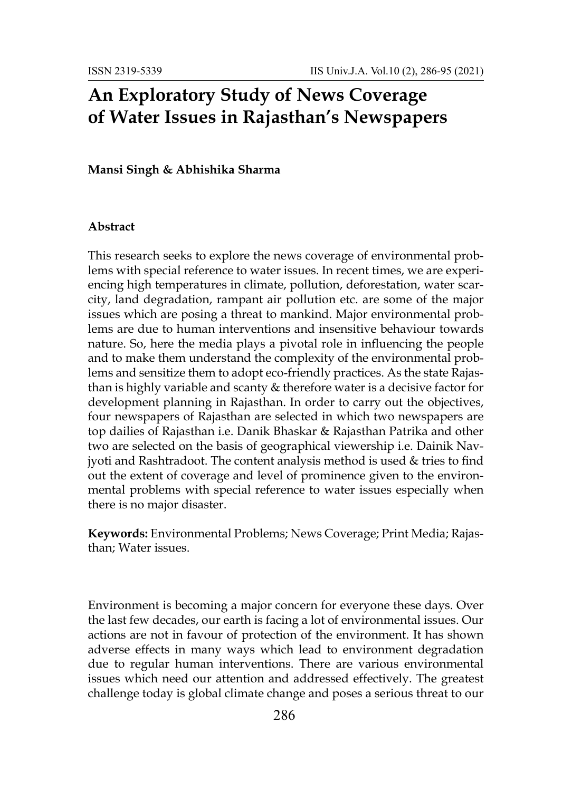# **An Exploratory Study of News Coverage of Water Issues in Rajasthan's Newspapers**

#### **Mansi Singh & Abhishika Sharma**

#### **Abstract**

This research seeks to explore the news coverage of environmental problems with special reference to water issues. In recent times, we are experiencing high temperatures in climate, pollution, deforestation, water scarcity, land degradation, rampant air pollution etc. are some of the major issues which are posing a threat to mankind. Major environmental problems are due to human interventions and insensitive behaviour towards nature. So, here the media plays a pivotal role in influencing the people and to make them understand the complexity of the environmental problems and sensitize them to adopt eco-friendly practices. As the state Rajasthan is highly variable and scanty & therefore water is a decisive factor for development planning in Rajasthan. In order to carry out the objectives, four newspapers of Rajasthan are selected in which two newspapers are top dailies of Rajasthan i.e. Danik Bhaskar & Rajasthan Patrika and other two are selected on the basis of geographical viewership i.e. Dainik Navjyoti and Rashtradoot. The content analysis method is used & tries to find out the extent of coverage and level of prominence given to the environmental problems with special reference to water issues especially when there is no major disaster.

**Keywords:** Environmental Problems; News Coverage; Print Media; Rajasthan; Water issues.

Environment is becoming a major concern for everyone these days. Over the last few decades, our earth is facing a lot of environmental issues. Our actions are not in favour of protection of the environment. It has shown adverse effects in many ways which lead to environment degradation due to regular human interventions. There are various environmental issues which need our attention and addressed effectively. The greatest challenge today is global climate change and poses a serious threat to our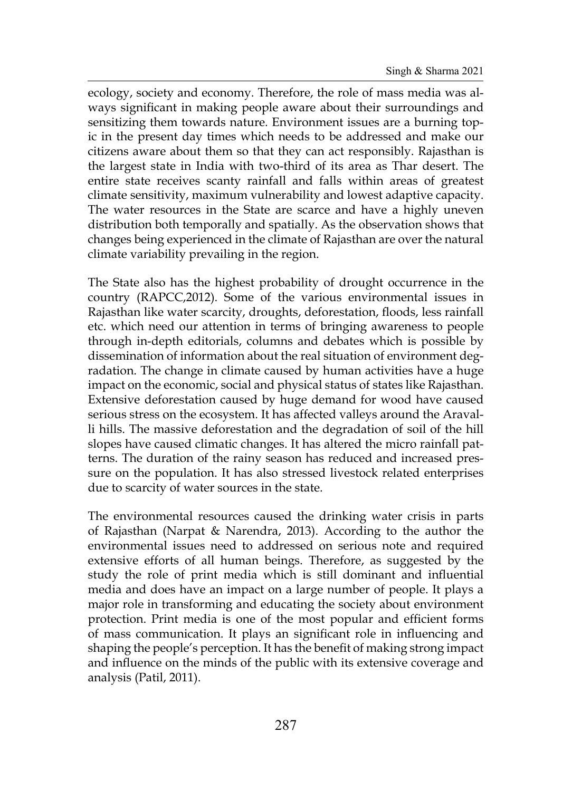ecology, society and economy. Therefore, the role of mass media was always significant in making people aware about their surroundings and sensitizing them towards nature. Environment issues are a burning topic in the present day times which needs to be addressed and make our citizens aware about them so that they can act responsibly. Rajasthan is the largest state in India with two-third of its area as Thar desert. The entire state receives scanty rainfall and falls within areas of greatest climate sensitivity, maximum vulnerability and lowest adaptive capacity. The water resources in the State are scarce and have a highly uneven distribution both temporally and spatially. As the observation shows that changes being experienced in the climate of Rajasthan are over the natural climate variability prevailing in the region.

The State also has the highest probability of drought occurrence in the country (RAPCC,2012). Some of the various environmental issues in Rajasthan like water scarcity, droughts, deforestation, floods, less rainfall etc. which need our attention in terms of bringing awareness to people through in-depth editorials, columns and debates which is possible by dissemination of information about the real situation of environment degradation. The change in climate caused by human activities have a huge impact on the economic, social and physical status of states like Rajasthan. Extensive deforestation caused by huge demand for wood have caused serious stress on the ecosystem. It has affected valleys around the Aravalli hills. The massive deforestation and the degradation of soil of the hill slopes have caused climatic changes. It has altered the micro rainfall patterns. The duration of the rainy season has reduced and increased pressure on the population. It has also stressed livestock related enterprises due to scarcity of water sources in the state.

The environmental resources caused the drinking water crisis in parts of Rajasthan (Narpat & Narendra, 2013). According to the author the environmental issues need to addressed on serious note and required extensive efforts of all human beings. Therefore, as suggested by the study the role of print media which is still dominant and influential media and does have an impact on a large number of people. It plays a major role in transforming and educating the society about environment protection. Print media is one of the most popular and efficient forms of mass communication. It plays an significant role in influencing and shaping the people's perception. It has the benefit of making strong impact and influence on the minds of the public with its extensive coverage and analysis (Patil, 2011).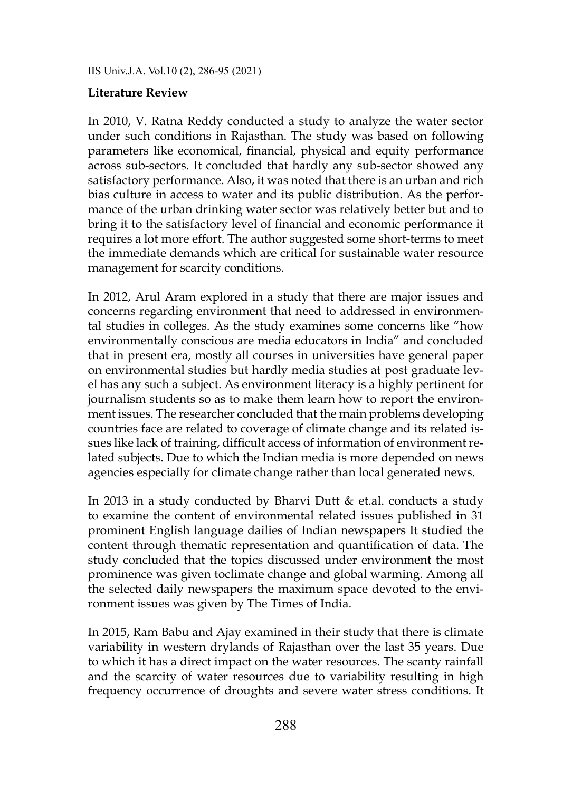#### **Literature Review**

In 2010, V. Ratna Reddy conducted a study to analyze the water sector under such conditions in Rajasthan. The study was based on following parameters like economical, financial, physical and equity performance across sub-sectors. It concluded that hardly any sub-sector showed any satisfactory performance. Also, it was noted that there is an urban and rich bias culture in access to water and its public distribution. As the performance of the urban drinking water sector was relatively better but and to bring it to the satisfactory level of financial and economic performance it requires a lot more effort. The author suggested some short-terms to meet the immediate demands which are critical for sustainable water resource management for scarcity conditions.

In 2012, Arul Aram explored in a study that there are major issues and concerns regarding environment that need to addressed in environmental studies in colleges. As the study examines some concerns like "how environmentally conscious are media educators in India" and concluded that in present era, mostly all courses in universities have general paper on environmental studies but hardly media studies at post graduate level has any such a subject. As environment literacy is a highly pertinent for journalism students so as to make them learn how to report the environment issues. The researcher concluded that the main problems developing countries face are related to coverage of climate change and its related issues like lack of training, difficult access of information of environment related subjects. Due to which the Indian media is more depended on news agencies especially for climate change rather than local generated news.

In 2013 in a study conducted by Bharvi Dutt & et.al. conducts a study to examine the content of environmental related issues published in 31 prominent English language dailies of Indian newspapers It studied the content through thematic representation and quantification of data. The study concluded that the topics discussed under environment the most prominence was given toclimate change and global warming. Among all the selected daily newspapers the maximum space devoted to the environment issues was given by The Times of India.

In 2015, Ram Babu and Ajay examined in their study that there is climate variability in western drylands of Rajasthan over the last 35 years. Due to which it has a direct impact on the water resources. The scanty rainfall and the scarcity of water resources due to variability resulting in high frequency occurrence of droughts and severe water stress conditions. It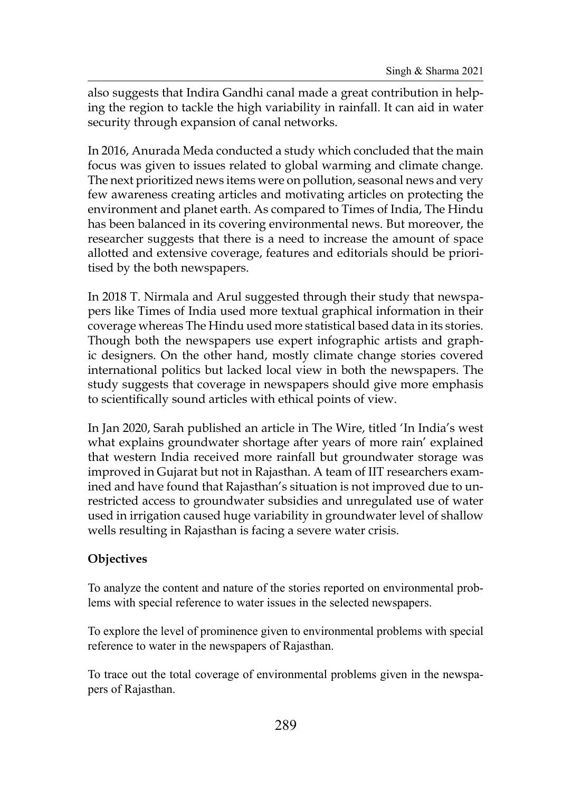also suggests that Indira Gandhi canal made a great contribution in helping the region to tackle the high variability in rainfall. It can aid in water security through expansion of canal networks.

In 2016, Anurada Meda conducted a study which concluded that the main focus was given to issues related to global warming and climate change. The next prioritized news items were on pollution, seasonal news and very few awareness creating articles and motivating articles on protecting the environment and planet earth. As compared to Times of India, The Hindu has been balanced in its covering environmental news. But moreover, the researcher suggests that there is a need to increase the amount of space allotted and extensive coverage, features and editorials should be prioritised by the both newspapers.

In 2018 T. Nirmala and Arul suggested through their study that newspapers like Times of India used more textual graphical information in their coverage whereas The Hindu used more statistical based data in its stories. Though both the newspapers use expert infographic artists and graphic designers. On the other hand, mostly climate change stories covered international politics but lacked local view in both the newspapers. The study suggests that coverage in newspapers should give more emphasis to scientifically sound articles with ethical points of view.

In Jan 2020, Sarah published an article in The Wire, titled 'In India's west what explains groundwater shortage after years of more rain' explained that western India received more rainfall but groundwater storage was improved in Gujarat but not in Rajasthan. A team of IIT researchers examined and have found that Rajasthan's situation is not improved due to unrestricted access to groundwater subsidies and unregulated use of water used in irrigation caused huge variability in groundwater level of shallow wells resulting in Rajasthan is facing a severe water crisis.

### **Objectives**

To analyze the content and nature of the stories reported on environmental problems with special reference to water issues in the selected newspapers.

To explore the level of prominence given to environmental problems with special reference to water in the newspapers of Rajasthan.

To trace out the total coverage of environmental problems given in the newspapers of Rajasthan.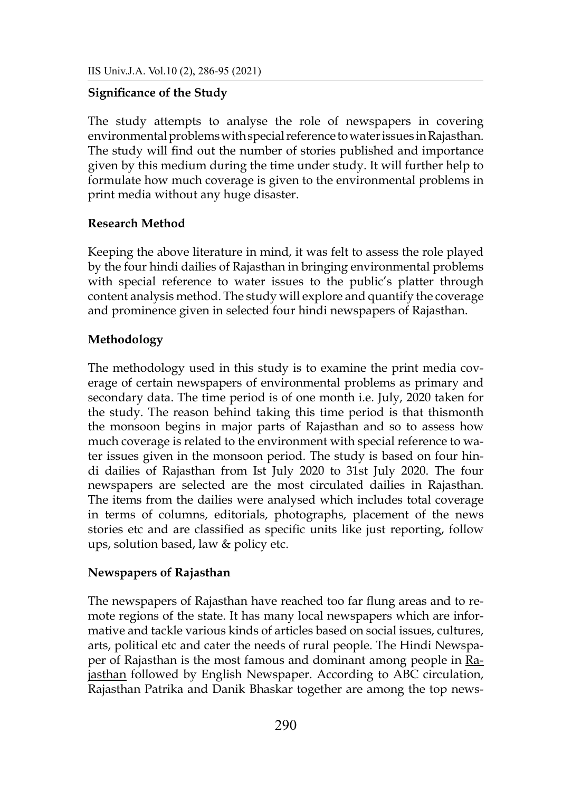#### **Significance of the Study**

The study attempts to analyse the role of newspapers in covering environmental problems with special reference to water issues in Rajasthan. The study will find out the number of stories published and importance given by this medium during the time under study. It will further help to formulate how much coverage is given to the environmental problems in print media without any huge disaster.

#### **Research Method**

Keeping the above literature in mind, it was felt to assess the role played by the four hindi dailies of Rajasthan in bringing environmental problems with special reference to water issues to the public's platter through content analysis method. The study will explore and quantify the coverage and prominence given in selected four hindi newspapers of Rajasthan.

#### **Methodology**

The methodology used in this study is to examine the print media coverage of certain newspapers of environmental problems as primary and secondary data. The time period is of one month i.e. July, 2020 taken for the study. The reason behind taking this time period is that thismonth the monsoon begins in major parts of Rajasthan and so to assess how much coverage is related to the environment with special reference to water issues given in the monsoon period. The study is based on four hindi dailies of Rajasthan from Ist July 2020 to 31st July 2020. The four newspapers are selected are the most circulated dailies in Rajasthan. The items from the dailies were analysed which includes total coverage in terms of columns, editorials, photographs, placement of the news stories etc and are classified as specific units like just reporting, follow ups, solution based, law & policy etc.

#### **Newspapers of Rajasthan**

The newspapers of Rajasthan have reached too far flung areas and to remote regions of the state. It has many local newspapers which are informative and tackle various kinds of articles based on social issues, cultures, arts, political etc and cater the needs of rural people. The Hindi Newspaper of Rajasthan is the most famous and dominant among people in [Ra](https://www.rajasthandirect.com/tourism)[jasthan](https://www.rajasthandirect.com/tourism) followed by English Newspaper. According to ABC circulation, Rajasthan Patrika and Danik Bhaskar together are among the top news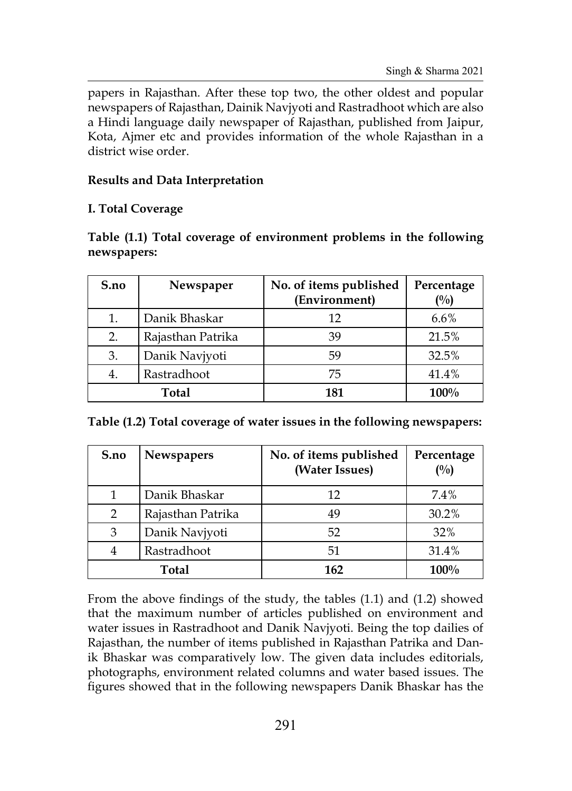papers in Rajasthan. After these top two, the other oldest and popular newspapers of Rajasthan, Dainik Navjyoti and Rastradhoot which are also a Hindi language daily newspaper of Rajasthan, published from Jaipur, Kota, Ajmer etc and provides information of the whole Rajasthan in a district wise order.

# **Results and Data Interpretation**

# **I. Total Coverage**

|             |  | Table (1.1) Total coverage of environment problems in the following |  |  |  |
|-------------|--|---------------------------------------------------------------------|--|--|--|
| newspapers: |  |                                                                     |  |  |  |

| S.no              | Newspaper         | No. of items published<br>(Environment) | Percentage<br>(%) |  |
|-------------------|-------------------|-----------------------------------------|-------------------|--|
| 1.                | Danik Bhaskar     | 12                                      | $6.6\%$           |  |
| 2.                | Rajasthan Patrika | 39                                      | 21.5%             |  |
| 3.                | Danik Navjyoti    | 59                                      | 32.5%             |  |
| Rastradhoot<br>4. |                   | 75                                      | 41.4%             |  |
| <b>Total</b>      |                   | 181                                     | $100\%$           |  |

**Table (1.2) Total coverage of water issues in the following newspapers:**

| S.no             | <b>Newspapers</b> | No. of items published<br>(Water Issues) | Percentage<br>(%) |  |
|------------------|-------------------|------------------------------------------|-------------------|--|
|                  | Danik Bhaskar     | 12                                       | 7.4%              |  |
| 2                | Rajasthan Patrika | 49                                       | 30.2%             |  |
| 3                | Danik Navjyoti    | 52                                       | 32%               |  |
| Rastradhoot<br>4 |                   | 51                                       | 31.4%             |  |
| Total            |                   | 162                                      | $100\%$           |  |

From the above findings of the study, the tables (1.1) and (1.2) showed that the maximum number of articles published on environment and water issues in Rastradhoot and Danik Navjyoti. Being the top dailies of Rajasthan, the number of items published in Rajasthan Patrika and Danik Bhaskar was comparatively low. The given data includes editorials, photographs, environment related columns and water based issues. The figures showed that in the following newspapers Danik Bhaskar has the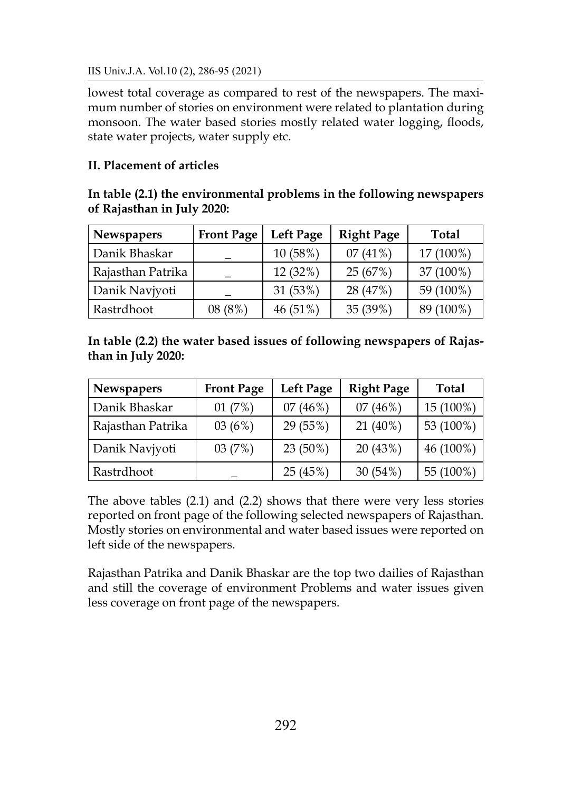IIS Univ.J.A. Vol.10 (2), 286-95 (2021)

lowest total coverage as compared to rest of the newspapers. The maximum number of stories on environment were related to plantation during monsoon. The water based stories mostly related water logging, floods, state water projects, water supply etc.

# **II. Placement of articles**

# **In table (2.1) the environmental problems in the following newspapers of Rajasthan in July 2020:**

| <b>Newspapers</b> | <b>Front Page</b> | <b>Left Page</b> | <b>Right Page</b> | <b>Total</b> |
|-------------------|-------------------|------------------|-------------------|--------------|
| Danik Bhaskar     |                   | 10 (58%)         | 07(41%)           | 17 (100%)    |
| Rajasthan Patrika |                   | 12(32%)          | 25 (67%)          | 37 (100%)    |
| Danik Navjyoti    |                   | 31 (53%)         | 28 (47%)          | 59 (100%)    |
| Rastrdhoot        | 08(8%)            | 46 (51%)         | 35 (39%)          | 89 (100%)    |

# **In table (2.2) the water based issues of following newspapers of Rajasthan in July 2020:**

| <b>Newspapers</b> | <b>Front Page</b> | <b>Left Page</b> | <b>Right Page</b> | <b>Total</b> |  |
|-------------------|-------------------|------------------|-------------------|--------------|--|
| Danik Bhaskar     | 01(7%)            | 07(46%)          | 07(46%)           | 15 (100%)    |  |
| Rajasthan Patrika | 03(6%)            | 29 (55%)         | $21(40\%)$        | 53 (100%)    |  |
| Danik Navjyoti    | 03(7%)            | 23 (50%)         | 20(43%)           | 46 (100%)    |  |
| Rastrdhoot        |                   | 25 (45%)         | 30(54%)           | 55 (100%)    |  |

The above tables (2.1) and (2.2) shows that there were very less stories reported on front page of the following selected newspapers of Rajasthan. Mostly stories on environmental and water based issues were reported on left side of the newspapers.

Rajasthan Patrika and Danik Bhaskar are the top two dailies of Rajasthan and still the coverage of environment Problems and water issues given less coverage on front page of the newspapers.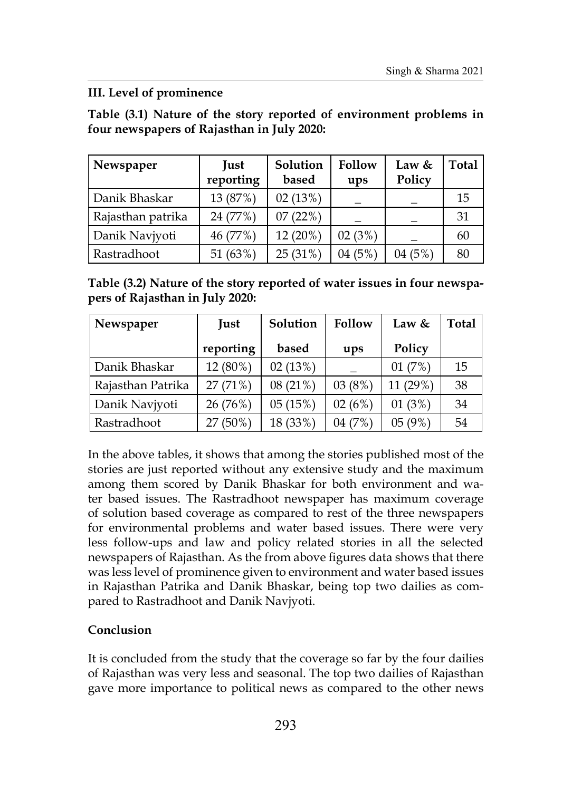# **III. Level of prominence**

**Table (3.1) Nature of the story reported of environment problems in four newspapers of Rajasthan in July 2020:**

| Newspaper         | Just<br>reporting | Solution<br>based | Follow<br>ups | Law $&$<br>Policy | Total |
|-------------------|-------------------|-------------------|---------------|-------------------|-------|
| Danik Bhaskar     | 13 (87%)          | 02(13%)           |               |                   | 15    |
| Rajasthan patrika | 24 (77%)          | 07(22%)           |               |                   | 31    |
| Danik Navjyoti    | 46 (77%)          | 12 (20%)          | 02(3%)        |                   | 60    |
| Rastradhoot       | 51 (63%)          | 25(31%)           | (5%)<br>)4    | 04(5%)            | 80    |

**Table (3.2) Nature of the story reported of water issues in four newspapers of Rajasthan in July 2020:**

| Newspaper         | Just      | Solution | Follow | Law &    | Total |
|-------------------|-----------|----------|--------|----------|-------|
|                   | reporting | based    | ups    | Policy   |       |
| Danik Bhaskar     | 12 (80%)  | 02(13%)  |        | 01(7%)   | 15    |
| Rajasthan Patrika | 27(71%)   | 08(21%)  | 03(8%) | 11 (29%) | 38    |
| Danik Navjyoti    | 26 (76%)  | 05(15%)  | 02(6%) | 01(3%)   | 34    |
| Rastradhoot       | 27 (50%)  | 18 (33%) | 04(7%) | 05(9%)   | 54    |

In the above tables, it shows that among the stories published most of the stories are just reported without any extensive study and the maximum among them scored by Danik Bhaskar for both environment and water based issues. The Rastradhoot newspaper has maximum coverage of solution based coverage as compared to rest of the three newspapers for environmental problems and water based issues. There were very less follow-ups and law and policy related stories in all the selected newspapers of Rajasthan. As the from above figures data shows that there was less level of prominence given to environment and water based issues in Rajasthan Patrika and Danik Bhaskar, being top two dailies as compared to Rastradhoot and Danik Navjyoti.

# **Conclusion**

It is concluded from the study that the coverage so far by the four dailies of Rajasthan was very less and seasonal. The top two dailies of Rajasthan gave more importance to political news as compared to the other news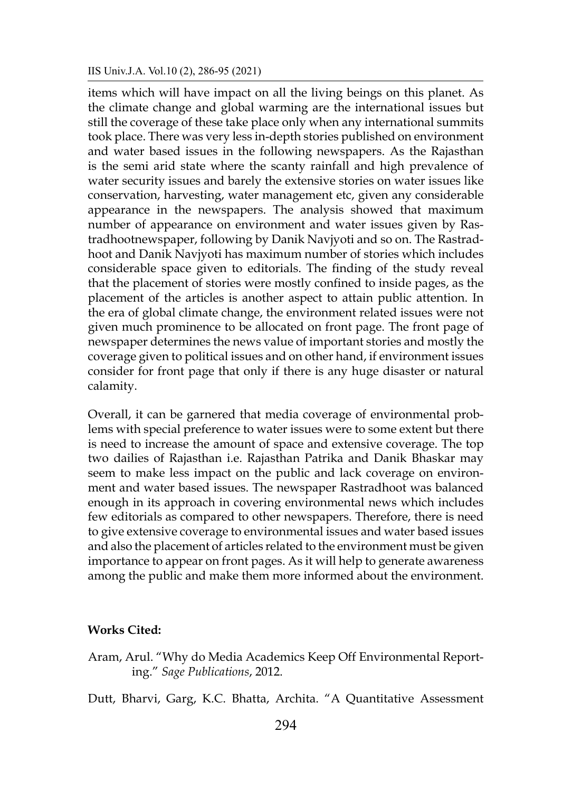items which will have impact on all the living beings on this planet. As the climate change and global warming are the international issues but still the coverage of these take place only when any international summits took place. There was very less in-depth stories published on environment and water based issues in the following newspapers. As the Rajasthan is the semi arid state where the scanty rainfall and high prevalence of water security issues and barely the extensive stories on water issues like conservation, harvesting, water management etc, given any considerable appearance in the newspapers. The analysis showed that maximum number of appearance on environment and water issues given by Rastradhootnewspaper, following by Danik Navjyoti and so on. The Rastradhoot and Danik Navjyoti has maximum number of stories which includes considerable space given to editorials. The finding of the study reveal that the placement of stories were mostly confined to inside pages, as the placement of the articles is another aspect to attain public attention. In the era of global climate change, the environment related issues were not given much prominence to be allocated on front page. The front page of newspaper determines the news value of important stories and mostly the coverage given to political issues and on other hand, if environment issues consider for front page that only if there is any huge disaster or natural calamity.

Overall, it can be garnered that media coverage of environmental problems with special preference to water issues were to some extent but there is need to increase the amount of space and extensive coverage. The top two dailies of Rajasthan i.e. Rajasthan Patrika and Danik Bhaskar may seem to make less impact on the public and lack coverage on environment and water based issues. The newspaper Rastradhoot was balanced enough in its approach in covering environmental news which includes few editorials as compared to other newspapers. Therefore, there is need to give extensive coverage to environmental issues and water based issues and also the placement of articles related to the environment must be given importance to appear on front pages. As it will help to generate awareness among the public and make them more informed about the environment.

#### **Works Cited:**

Aram, Arul. "Why do Media Academics Keep Off Environmental Reporting." *Sage Publications*, 2012.

Dutt, Bharvi, Garg, K.C. Bhatta, Archita. "A Quantitative Assessment